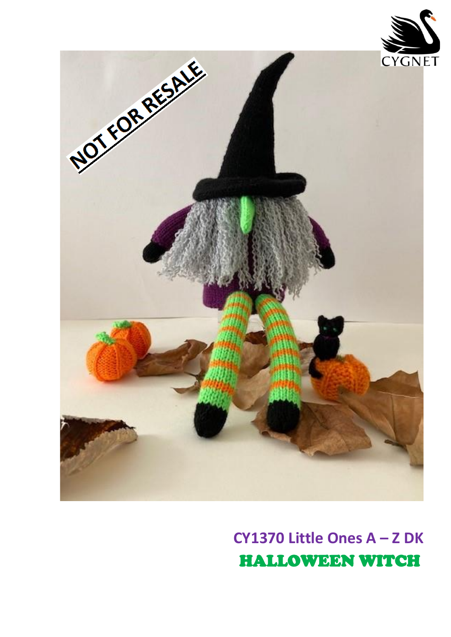

CY1370 Little Ones A - Z DK **HALLOWEEN WITCH**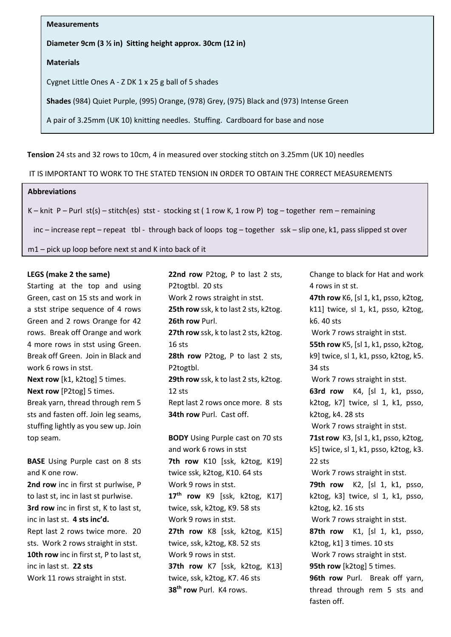**Measurements**

**Diameter 9cm (3 ½ in) Sitting height approx. 30cm (12 in)** 

## **Materials**

Cygnet Little Ones A - Z DK 1 x 25 g ball of 5 shades

**Shades** (984) Quiet Purple, (995) Orange, (978) Grey, (975) Black and (973) Intense Green

A pair of 3.25mm (UK 10) knitting needles. Stuffing. Cardboard for base and nose

**Tension** 24 sts and 32 rows to 10cm, 4 in measured over stocking stitch on 3.25mm (UK 10) needles

IT IS IMPORTANT TO WORK TO THE STATED TENSION IN ORDER TO OBTAIN THE CORRECT MEASUREMENTS

#### $\frac{1}{2}$ **Abbreviations**

K – knit P – Purl st(s) – stitch(es) stst - stocking st (1 row K, 1 row P) tog – together rem – remaining

inc – increase rept – repeat tbl - through back of loops tog – together ssk – slip one, k1, pass slipped st over

m1 – pick up loop before next st and K into back of it

# LEGS (make 2 the same)

Starting at the top and using Green, cast on 15 sts and work in a stst stripe sequence of 4 rows Green and 2 rows Orange for 42 rows. Break off Orange and work 4 more rows in stst using Green. Break off Green. Join in Black and work 6 rows in stst. **Next row** [k1, k2tog] 5 times.

**Next row** [P2tog] 5 times. Break yarn, thread through rem 5 sts and fasten off. Join leg seams, stuffing lightly as you sew up. Join top seam.

**BASE** Using Purple cast on 8 sts and K one row. **2nd row** inc in first st purlwise, P to last st, inc in last st purlwise. **3rd row** inc in first st, K to last st, inc in last st. **4 sts inc'd.** Rept last 2 rows twice more. 20 sts. Work 2 rows straight in stst.

**10th row** inc in first st, P to last st, inc in last st. **22 sts**

Work 11 rows straight in stst.

**22nd row** P2tog, P to last 2 sts, P2togtbl. 20 sts **need to the Tension Straight in state of 12th** and straight in stat. **25th row** ssk, k to last 2 sts, k2tog. **26th row** Purl. **27th row** ssk, k to last 2 sts, k2tog. 16 sts **28th row** P2tog, P to last 2 sts, off Green. Join in Black and P2togtbl. **29th row** ssk, k to last 2 sts, k2tog. 12 sts Rept last 2 rows once more. 8 sts **34th row** Purl. Cast off. **BODY** Using Purple cast on 70 sts The rows in stst using Green. The state of the State States and the States States of the States of the States of Tu

and work 6 rows in stst **7th row** K10 [ssk, k2tog, K19] twice ssk, k2tog, K10. 64 sts Work 9 rows in stst. **17th row** K9 [ssk, k2tog, K17] twice, ssk, k2tog, K9. 58 sts Work 9 rows in stst. **27th row** K8 [ssk, k2tog, K15] twice, ssk, k2tog, K8. 52 sts Work 9 rows in stst. **37th row** K7 [ssk, k2tog, K13] twice, ssk, k2tog, K7. 46 sts **38th row** Purl. K4 rows.

Change to black for Hat and work 4 rows in st st. **47th row** K6, [sl 1, k1, psso, k2tog,  $k11$ ] twice, sl 1, k1, psso, k2tog, k6. 40 sts Work 7 rows straight in stst. k9] twice, sl 1, k1, psso, k2tog, k5. 34 sts Work 7 rows straight in stst. **63rd row** K4, [sl 1, k1, psso, k2tog, k7] twice, sl 1, k1, psso, k2tog, k4. 28 sts Work 7 rows straight in stst. **71st row** K3, [sl 1, k1, psso, k2tog, k5] twice, sl 1, k1, psso, k2tog, k3. 22 sts Work 7 rows straight in stst. **79th row** K2, [sl 1, k1, psso, k2tog, k3] twice, sl 1, k1, psso, k2tog, k2. 16 sts Work 7 rows straight in stst. **87th row** K1, [sl 1, k1, psso, k2tog, k1] 3 times. 10 sts Work 7 rows straight in stst. **95th row** [k2tog] 5 times. **96th row** Purl. Break off yarn, thread through rem 5 sts and fasten off.  $(411)$  (witc,  $(311)$   $(11)$   $(201)$